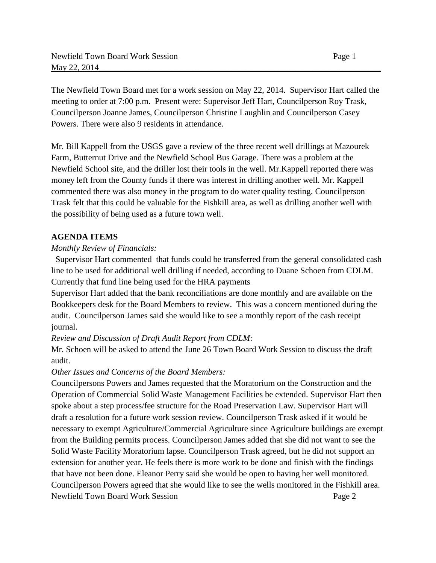The Newfield Town Board met for a work session on May 22, 2014. Supervisor Hart called the meeting to order at 7:00 p.m. Present were: Supervisor Jeff Hart, Councilperson Roy Trask, Councilperson Joanne James, Councilperson Christine Laughlin and Councilperson Casey Powers. There were also 9 residents in attendance.

Mr. Bill Kappell from the USGS gave a review of the three recent well drillings at Mazourek Farm, Butternut Drive and the Newfield School Bus Garage. There was a problem at the Newfield School site, and the driller lost their tools in the well. Mr.Kappell reported there was money left from the County funds if there was interest in drilling another well. Mr. Kappell commented there was also money in the program to do water quality testing. Councilperson Trask felt that this could be valuable for the Fishkill area, as well as drilling another well with the possibility of being used as a future town well.

## **AGENDA ITEMS**

## *Monthly Review of Financials:*

Supervisor Hart commented that funds could be transferred from the general consolidated cash line to be used for additional well drilling if needed, according to Duane Schoen from CDLM. Currently that fund line being used for the HRA payments

Supervisor Hart added that the bank reconciliations are done monthly and are available on the Bookkeepers desk for the Board Members to review. This was a concern mentioned during the audit. Councilperson James said she would like to see a monthly report of the cash receipt journal.

## *Review and Discussion of Draft Audit Report from CDLM:*

Mr. Schoen will be asked to attend the June 26 Town Board Work Session to discuss the draft audit.

## *Other Issues and Concerns of the Board Members:*

Councilpersons Powers and James requested that the Moratorium on the Construction and the Operation of Commercial Solid Waste Management Facilities be extended. Supervisor Hart then spoke about a step process/fee structure for the Road Preservation Law. Supervisor Hart will draft a resolution for a future work session review. Councilperson Trask asked if it would be necessary to exempt Agriculture/Commercial Agriculture since Agriculture buildings are exempt from the Building permits process. Councilperson James added that she did not want to see the Solid Waste Facility Moratorium lapse. Councilperson Trask agreed, but he did not support an extension for another year. He feels there is more work to be done and finish with the findings that have not been done. Eleanor Perry said she would be open to having her well monitored. Councilperson Powers agreed that she would like to see the wells monitored in the Fishkill area. Newfield Town Board Work Session Page 2